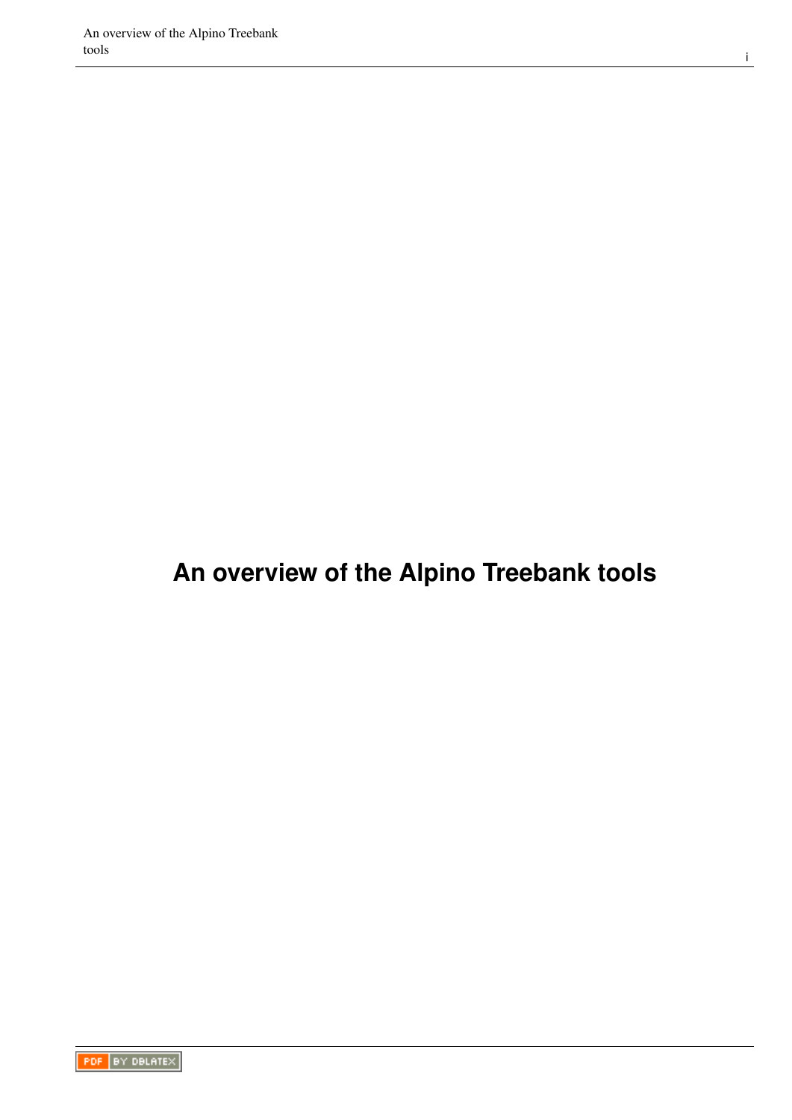## **An overview of the Alpino Treebank tools**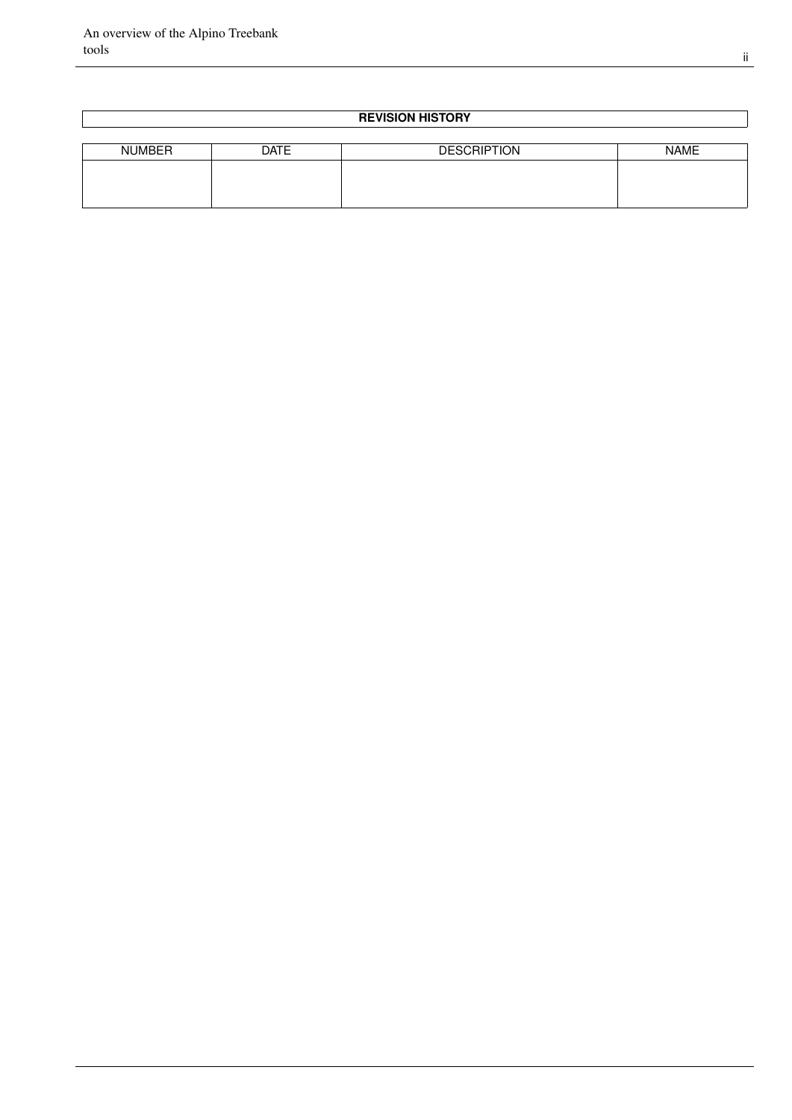#### **REVISION HISTORY**

| <b>NUMBER</b> | <b>DATE</b> | <b>DESCRIPTION</b> | <b>NAME</b> |
|---------------|-------------|--------------------|-------------|
|               |             |                    |             |
|               |             |                    |             |
|               |             |                    |             |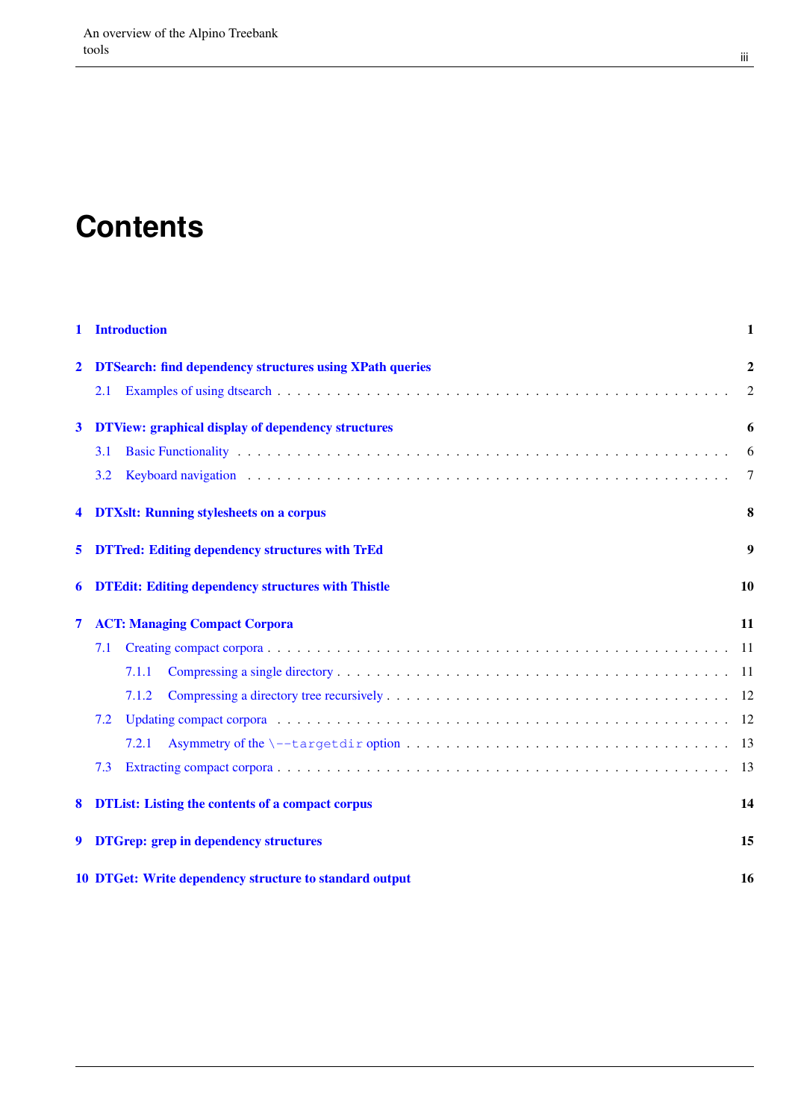# **Contents**

| 1              | <b>Introduction</b>                                             | 1              |
|----------------|-----------------------------------------------------------------|----------------|
| $\overline{2}$ | <b>DTSearch: find dependency structures using XPath queries</b> | $\overline{2}$ |
|                | 2.1                                                             | 2              |
| 3              | <b>DTView: graphical display of dependency structures</b>       | 6              |
|                | <b>3.1</b>                                                      | 6              |
|                | 3.2                                                             | 7              |
| 4              | <b>DTXslt: Running stylesheets on a corpus</b>                  | 8              |
| 5              | <b>DTTred: Editing dependency structures with TrEd</b>          | 9              |
| 6              | <b>DTEdit: Editing dependency structures with Thistle</b>       | 10             |
| 7              | <b>ACT: Managing Compact Corpora</b>                            | 11             |
|                | 7.1                                                             |                |
|                | 7.1.1                                                           |                |
|                | 7.1.2                                                           |                |
|                | 7.2                                                             |                |
|                | 7.2.1                                                           |                |
|                | 7.3                                                             |                |
| 8              | <b>DTList:</b> Listing the contents of a compact corpus         | 14             |
| 9              | <b>DTGrep: grep in dependency structures</b>                    | 15             |
|                | 10 DTGet: Write dependency structure to standard output         | 16             |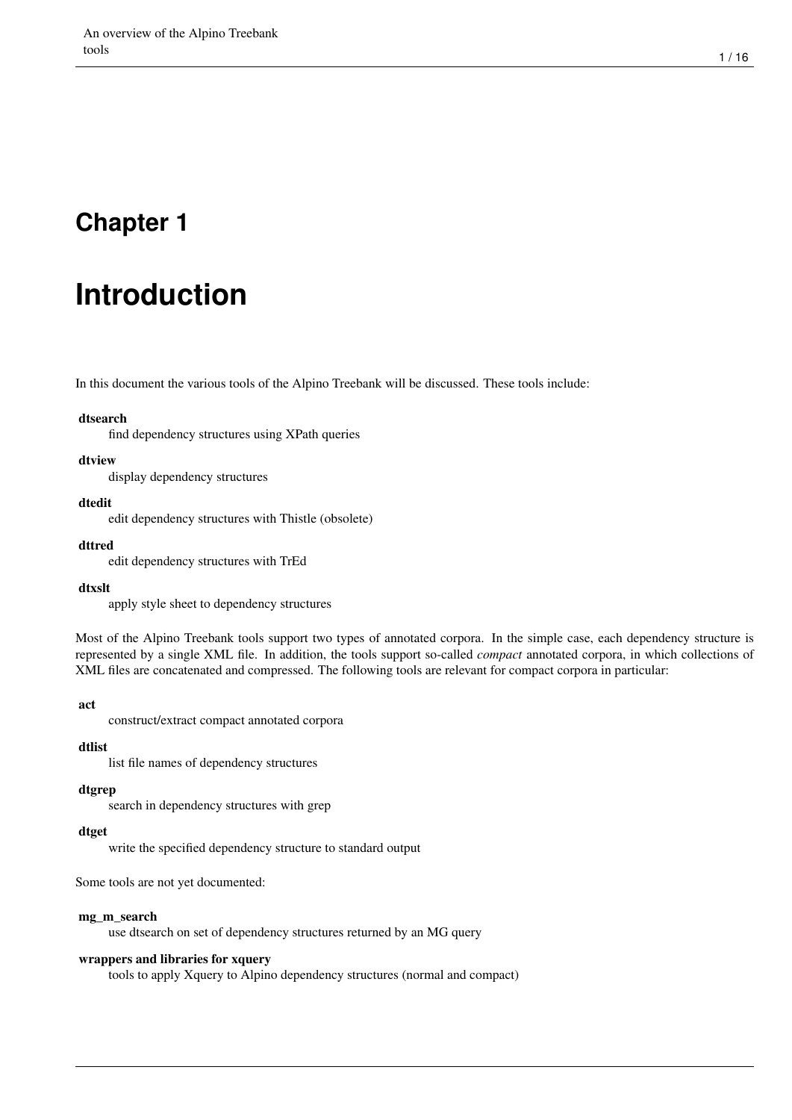# <span id="page-3-0"></span>**Introduction**

In this document the various tools of the Alpino Treebank will be discussed. These tools include:

#### dtsearch

find dependency structures using XPath queries

#### dtview

display dependency structures

#### dtedit

edit dependency structures with Thistle (obsolete)

#### dttred

edit dependency structures with TrEd

#### dtxslt

apply style sheet to dependency structures

Most of the Alpino Treebank tools support two types of annotated corpora. In the simple case, each dependency structure is represented by a single XML file. In addition, the tools support so-called *compact* annotated corpora, in which collections of XML files are concatenated and compressed. The following tools are relevant for compact corpora in particular:

#### act

construct/extract compact annotated corpora

#### dtlist

list file names of dependency structures

#### dtgrep

search in dependency structures with grep

#### dtget

write the specified dependency structure to standard output

Some tools are not yet documented:

#### mg m search

use dtsearch on set of dependency structures returned by an MG query

#### wrappers and libraries for xquery

tools to apply Xquery to Alpino dependency structures (normal and compact)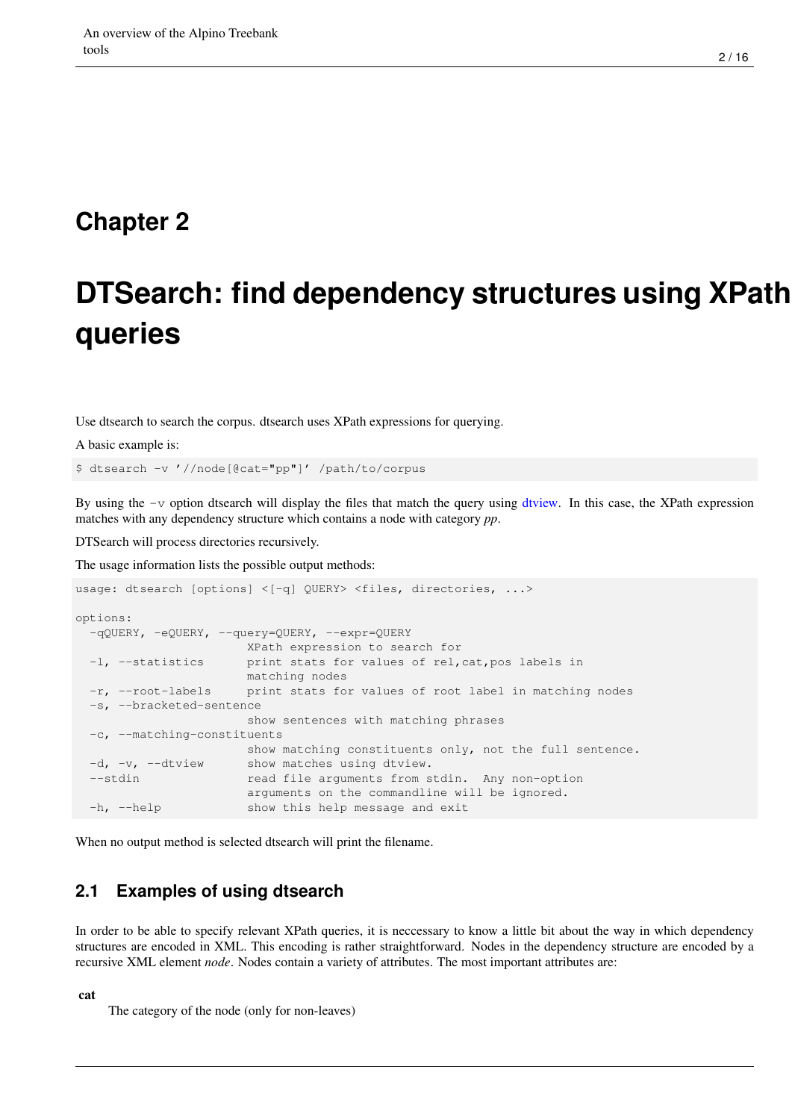# <span id="page-4-0"></span>**DTSearch: find dependency structures using XPath queries**

Use dtsearch to search the corpus. dtsearch uses XPath expressions for querying.

A basic example is:

\$ dtsearch -v '//node[@cat="pp"]' /path/to/corpus

By using the  $-v$  option dtsearch will display the files that match the query using [dtview.](#page-8-2) In this case, the XPath expression matches with any dependency structure which contains a node with category *pp*.

DTSearch will process directories recursively.

The usage information lists the possible output methods:

```
usage: dtsearch [options] <[-q] QUERY> <files, directories, ...>
options:
 -qQUERY, -eQUERY, --query=QUERY, --expr=QUERY
                     XPath expression to search for
 -1, --statistics print stats for values of rel, cat, pos labels in
                      matching nodes
 -r, --root-labels print stats for values of root label in matching nodes
 -s, --bracketed-sentence
                      show sentences with matching phrases
 -c, --matching-constituents
                     show matching constituents only, not the full sentence.
 -d, -v, --dtview show matches using dtview.
 --stdin read file arguments from stdin. Any non-option
                      arguments on the commandline will be ignored.
 -h, --help show this help message and exit
```
When no output method is selected dtsearch will print the filename.

#### <span id="page-4-1"></span>**2.1 Examples of using dtsearch**

In order to be able to specify relevant XPath queries, it is neccessary to know a little bit about the way in which dependency structures are encoded in XML. This encoding is rather straightforward. Nodes in the dependency structure are encoded by a recursive XML element *node*. Nodes contain a variety of attributes. The most important attributes are:

#### cat

The category of the node (only for non-leaves)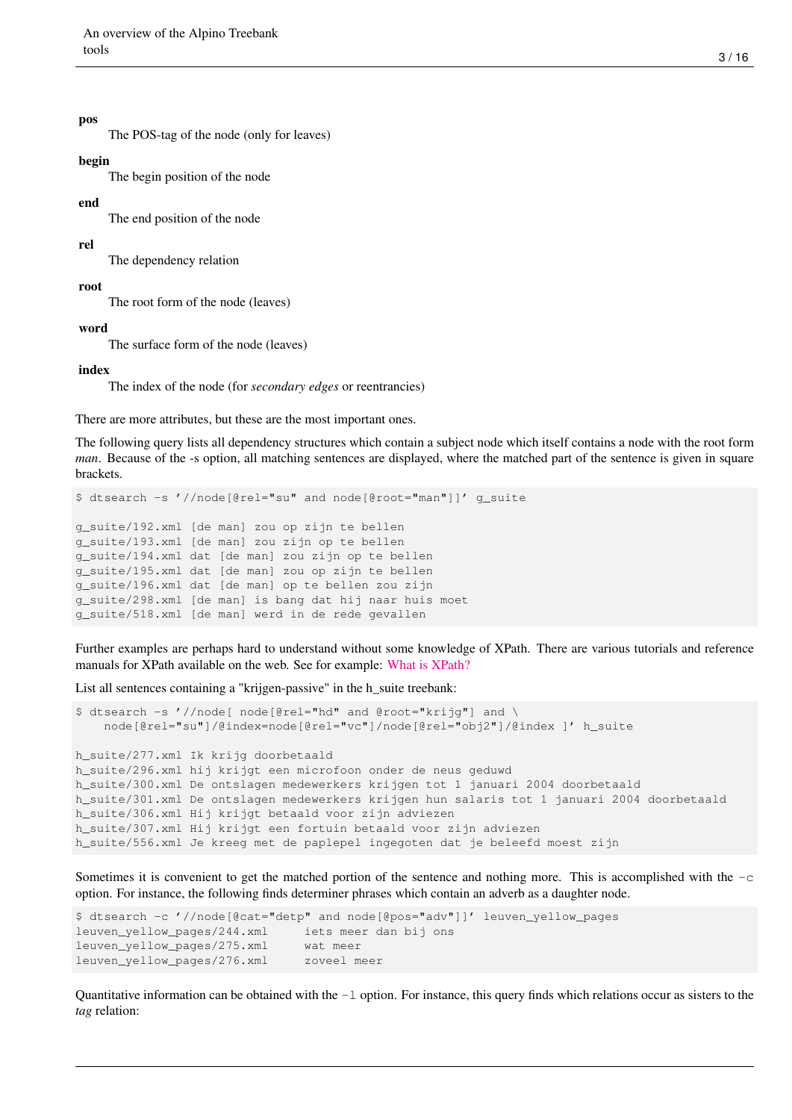#### pos

The POS-tag of the node (only for leaves)

#### begin

The begin position of the node

#### end

The end position of the node

#### rel

The dependency relation

root

The root form of the node (leaves)

#### word

The surface form of the node (leaves)

#### index

The index of the node (for *secondary edges* or reentrancies)

There are more attributes, but these are the most important ones.

The following query lists all dependency structures which contain a subject node which itself contains a node with the root form *man*. Because of the -s option, all matching sentences are displayed, where the matched part of the sentence is given in square brackets.

```
$ dtsearch -s '//node[@rel="su" and node[@root="man"]]' g_suite
```

```
g_suite/192.xml [de man] zou op zijn te bellen
g_suite/193.xml [de man] zou zijn op te bellen
g_suite/194.xml dat [de man] zou zijn op te bellen
g_suite/195.xml dat [de man] zou op zijn te bellen
g_suite/196.xml dat [de man] op te bellen zou zijn
g_suite/298.xml [de man] is bang dat hij naar huis moet
g_suite/518.xml [de man] werd in de rede gevallen
```
Further examples are perhaps hard to understand without some knowledge of XPath. There are various tutorials and reference manuals for XPath available on the web. See for example: [What is XPath?](http://en.wikipedia.org/wiki/XPath)

List all sentences containing a "krijgen-passive" in the h\_suite treebank:

```
$ dtsearch -s '//node[ node[@rel="hd" and @root="krijq"] and \
    node[@rel="su"]/@index=node[@rel="vc"]/node[@rel="obj2"]/@index ]' h_suite
h_suite/277.xml Ik krijg doorbetaald
h_suite/296.xml hij krijgt een microfoon onder de neus geduwd
h_suite/300.xml De ontslagen medewerkers krijgen tot 1 januari 2004 doorbetaald
h_suite/301.xml De ontslagen medewerkers krijgen hun salaris tot 1 januari 2004 doorbetaald
h_suite/306.xml Hij krijgt betaald voor zijn adviezen
h_suite/307.xml Hij krijgt een fortuin betaald voor zijn adviezen
h_suite/556.xml Je kreeg met de paplepel ingegoten dat je beleefd moest zijn
```
Sometimes it is convenient to get the matched portion of the sentence and nothing more. This is accomplished with the  $-c$ option. For instance, the following finds determiner phrases which contain an adverb as a daughter node.

```
$ dtsearch -c '//node[@cat="detp" and node[@pos="adv"]]' leuven_yellow_pages
leuven_yellow_pages/244.xml iets meer dan bij ons
leuven_yellow_pages/275.xml wat meer
leuven_yellow_pages/276.xml zoveel meer
```
Quantitative information can be obtained with the  $-1$  option. For instance, this query finds which relations occur as sisters to the *tag* relation: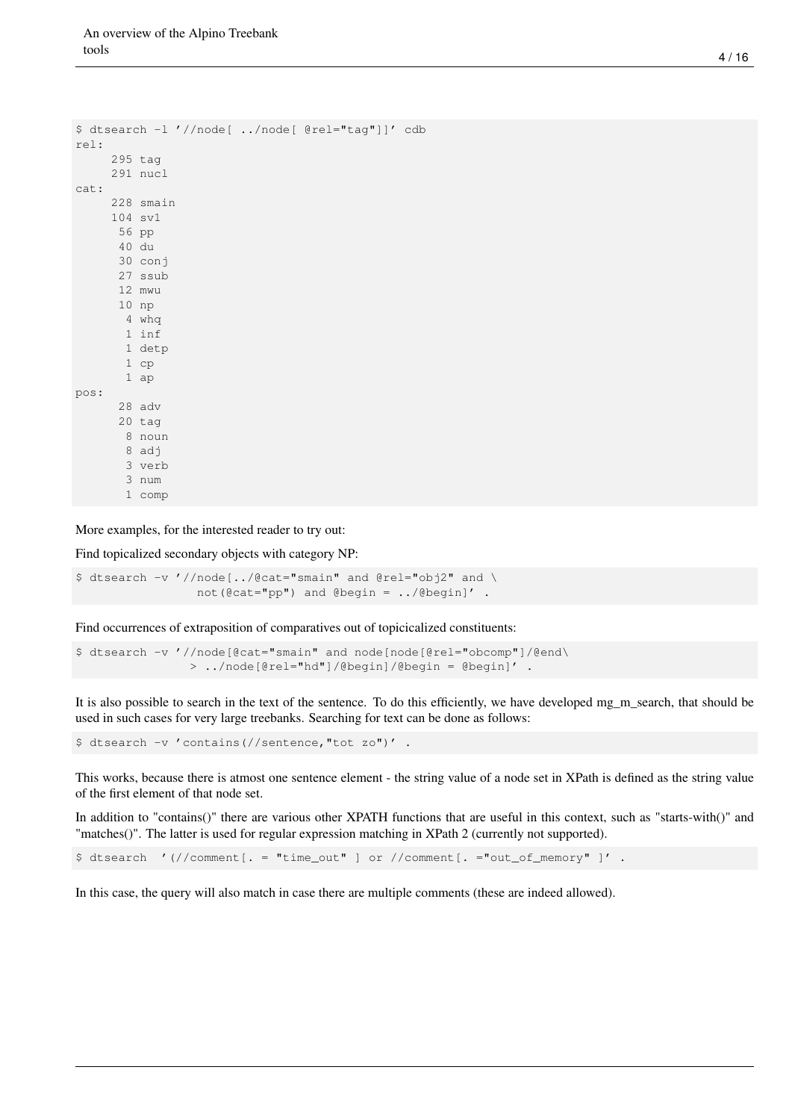```
$ dtsearch -l '//node[ ../node[ @rel="tag"]]' cdb
rel:
     295 tag
     291 nucl
cat:
     228 smain
     104 sv1
      56 pp
      40 du
      30 conj
      27 ssub
      12 mwu
      10 np
       4 whq
       1 inf
       1 detp
       1 cp
       1 ap
pos:
      28 adv
      20 tag
       8 noun
       8 adj
       3 verb
       3 num
       1 comp
```
More examples, for the interested reader to try out:

Find topicalized secondary objects with category NP:

```
$ dtsearch -v '//node[../@cat="smain" and @rel="obj2" and \
                not(@cat="ppp") and @begin = ../@begin'
```
Find occurrences of extraposition of comparatives out of topicicalized constituents:

```
$ dtsearch -v '//node[@cat="smain" and node[node[@rel="obcomp"]/@end\
               > ../node[@rel="hd"]/@begin]/@begin = @begin]' .
```
It is also possible to search in the text of the sentence. To do this efficiently, we have developed mg\_m\_search, that should be used in such cases for very large treebanks. Searching for text can be done as follows:

\$ dtsearch -v 'contains(//sentence,"tot zo")' .

This works, because there is atmost one sentence element - the string value of a node set in XPath is defined as the string value of the first element of that node set.

In addition to "contains()" there are various other XPATH functions that are useful in this context, such as "starts-with()" and "matches()". The latter is used for regular expression matching in XPath 2 (currently not supported).

```
$ dtsearch '(//comment[. = "time_out" ] or //comment[. ="out_of_memory" ]' .
```
In this case, the query will also match in case there are multiple comments (these are indeed allowed).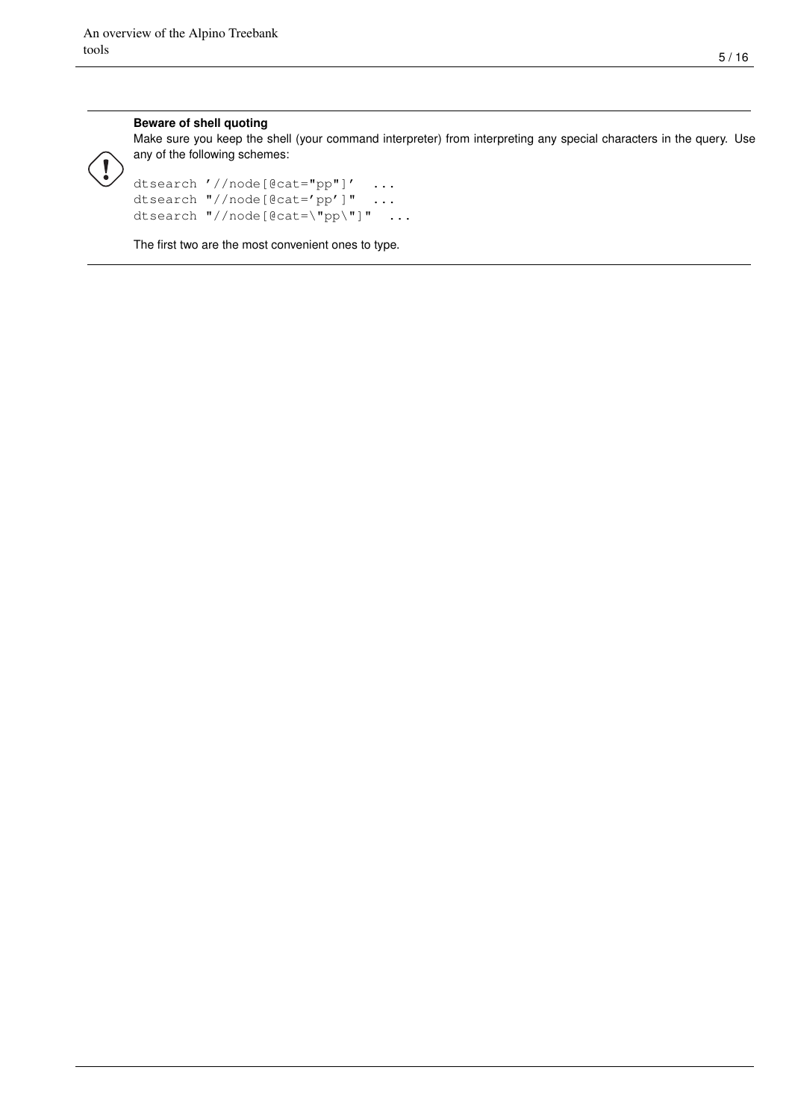#### **Beware of shell quoting**

Make sure you keep the shell (your command interpreter) from interpreting any special characters in the query. Use any of the following schemes:

```
dtsearch '//node[@cat="pp"]' ...
dtsearch "//node[@cat='pp']" ...
dtsearch "//node[@cat=\"pp\"]" ...
```
The first two are the most convenient ones to type.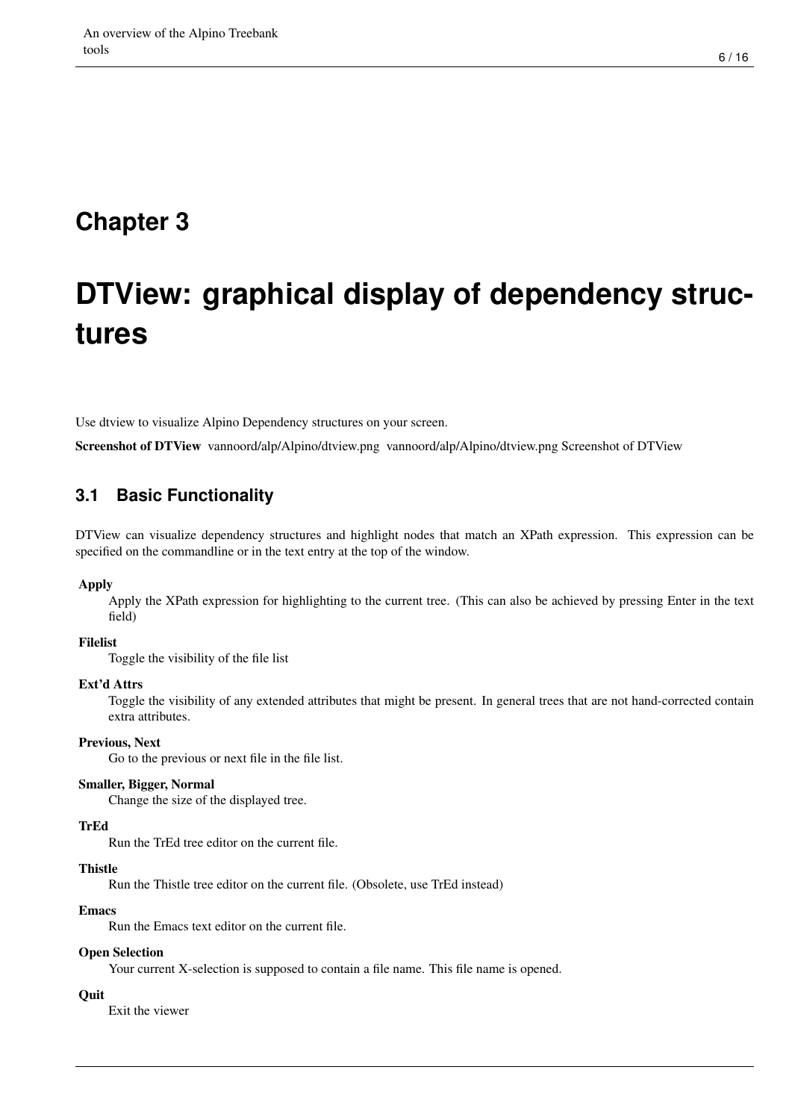# <span id="page-8-0"></span>**DTView: graphical display of dependency structures**

<span id="page-8-2"></span>Use dtview to visualize Alpino Dependency structures on your screen.

Screenshot of DTView vannoord/alp/Alpino/dtview.png vannoord/alp/Alpino/dtview.png Screenshot of DTView

#### <span id="page-8-1"></span>**3.1 Basic Functionality**

DTView can visualize dependency structures and highlight nodes that match an XPath expression. This expression can be specified on the commandline or in the text entry at the top of the window.

#### Apply

Apply the XPath expression for highlighting to the current tree. (This can also be achieved by pressing Enter in the text field)

#### Filelist

Toggle the visibility of the file list

#### Ext'd Attrs

Toggle the visibility of any extended attributes that might be present. In general trees that are not hand-corrected contain extra attributes.

#### Previous, Next

Go to the previous or next file in the file list.

#### Smaller, Bigger, Normal

Change the size of the displayed tree.

#### TrEd

Run the TrEd tree editor on the current file.

#### **Thistle**

Run the Thistle tree editor on the current file. (Obsolete, use TrEd instead)

#### Emacs

Run the Emacs text editor on the current file.

#### Open Selection

Your current X-selection is supposed to contain a file name. This file name is opened.

#### **Ouit**

Exit the viewer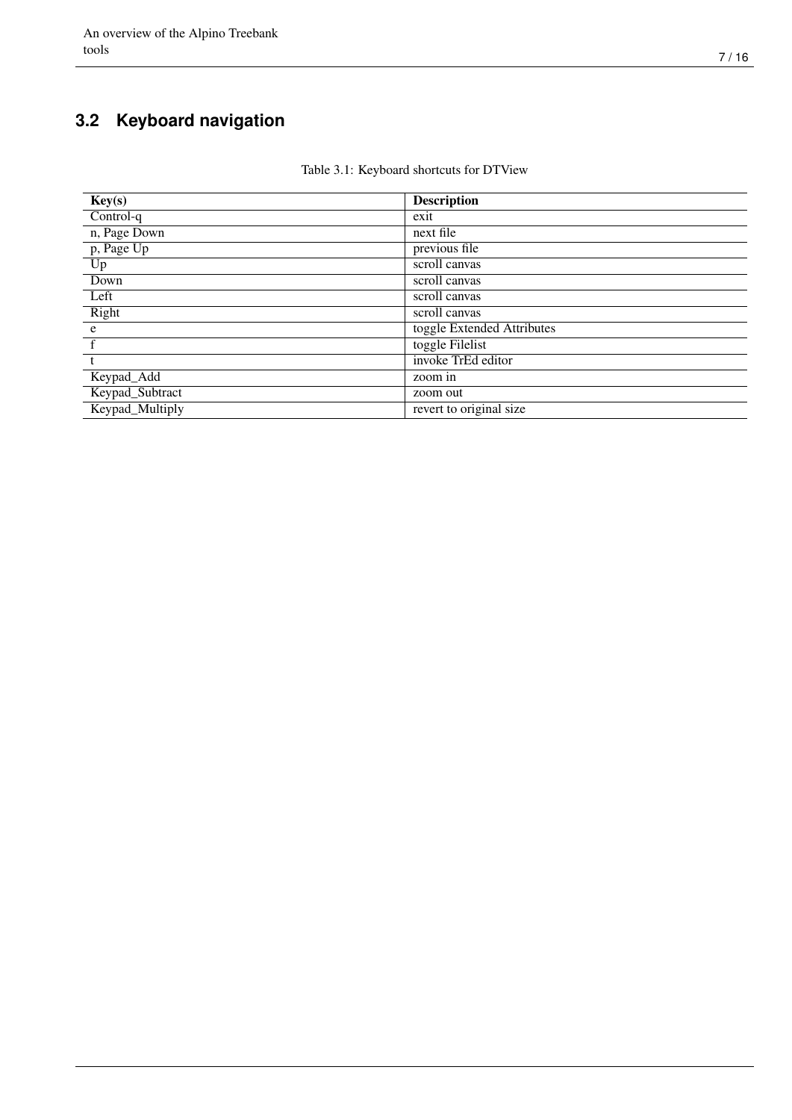### <span id="page-9-0"></span>**3.2 Keyboard navigation**

#### Table 3.1: Keyboard shortcuts for DTView

| Key(s)                  | <b>Description</b>         |
|-------------------------|----------------------------|
| Control-q               | exit                       |
| n, Page Down            | next file                  |
| $\overline{p, Page Up}$ | previous file              |
| $U_{p}$                 | scroll canvas              |
| Down                    | scroll canvas              |
| Left                    | scroll canvas              |
| Right                   | scroll canvas              |
| e                       | toggle Extended Attributes |
|                         | toggle Filelist            |
|                         | invoke TrEd editor         |
| Keypad_Add              | zoom in                    |
| Keypad_Subtract         | zoom out                   |
| Keypad_Multiply         | revert to original size    |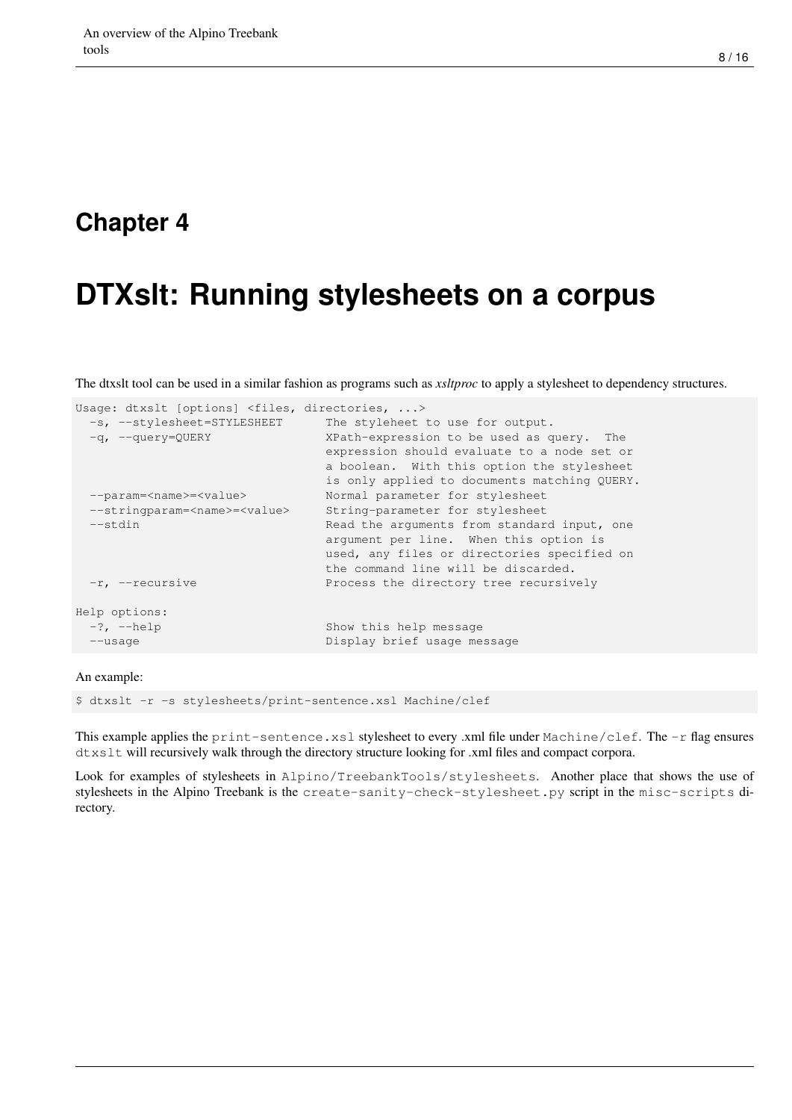## <span id="page-10-0"></span>**DTXslt: Running stylesheets on a corpus**

The dtxslt tool can be used in a similar fashion as programs such as *xsltproc* to apply a stylesheet to dependency structures.

| Usage: dtxslt [options] <files, directories,=""></files,> |                                              |
|-----------------------------------------------------------|----------------------------------------------|
| -s, --stylesheet=STYLESHEET                               | The styleheet to use for output.             |
| $-q$ , $-query=QUERY$                                     | XPath-expression to be used as query. The    |
|                                                           | expression should evaluate to a node set or  |
|                                                           | a boolean. With this option the stylesheet   |
|                                                           | is only applied to documents matching QUERY. |
| --param= <name>=<value></value></name>                    | Normal parameter for stylesheet              |
| --stringparam= <name>=<value></value></name>              | String-parameter for stylesheet              |
| $--$ stdin                                                | Read the arguments from standard input, one  |
|                                                           | argument per line. When this option is       |
|                                                           | used, any files or directories specified on  |
|                                                           | the command line will be discarded.          |
| $-r$ , $-recursively$                                     | Process the directory tree recursively       |
| Help options:                                             |                                              |
| $-?$ , $-\text{help}$                                     | Show this help message                       |
| $--usage$                                                 | Display brief usage message                  |
|                                                           |                                              |

#### An example:

\$ dtxslt -r -s stylesheets/print-sentence.xsl Machine/clef

This example applies the print-sentence.xsl stylesheet to every .xml file under Machine/clef. The -r flag ensures dtxslt will recursively walk through the directory structure looking for .xml files and compact corpora.

Look for examples of stylesheets in Alpino/TreebankTools/stylesheets. Another place that shows the use of stylesheets in the Alpino Treebank is the create-sanity-check-stylesheet.py script in the misc-scripts directory.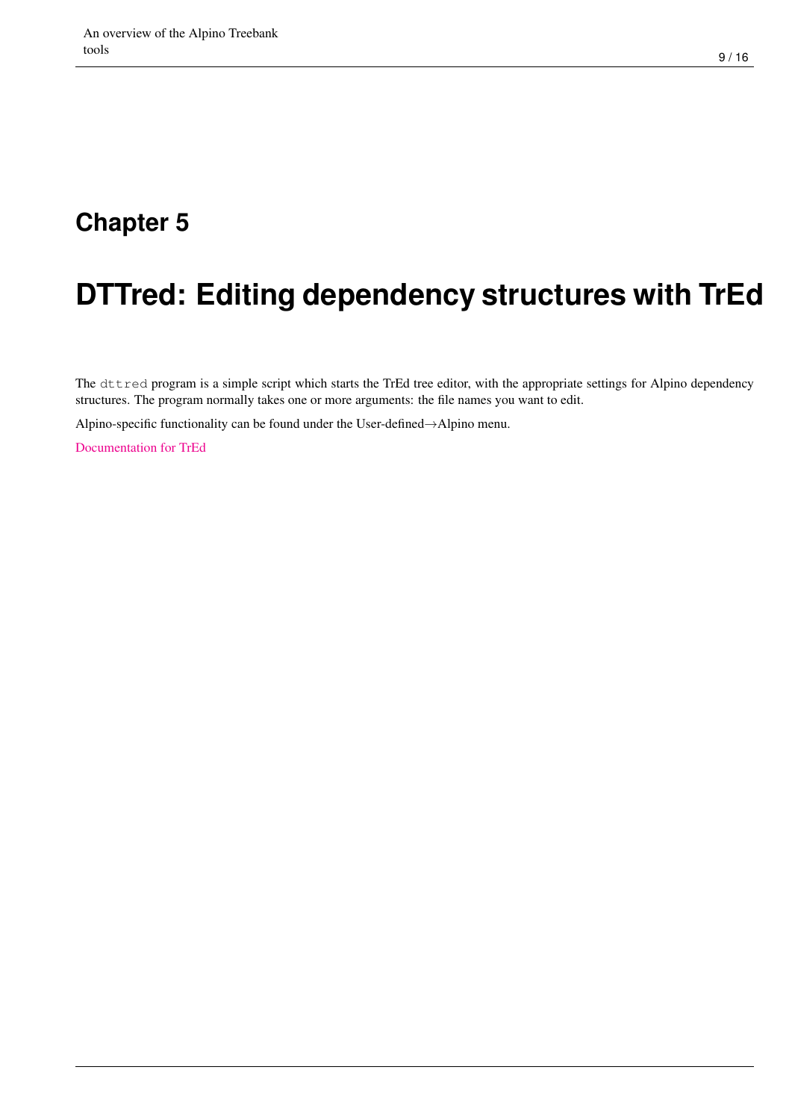# <span id="page-11-0"></span>**DTTred: Editing dependency structures with TrEd**

The dttred program is a simple script which starts the TrEd tree editor, with the appropriate settings for Alpino dependency structures. The program normally takes one or more arguments: the file names you want to edit.

Alpino-specific functionality can be found under the User-defined→Alpino menu.

[Documentation for TrEd](http://ufal.mff.cuni.cz/~pajas/tred/)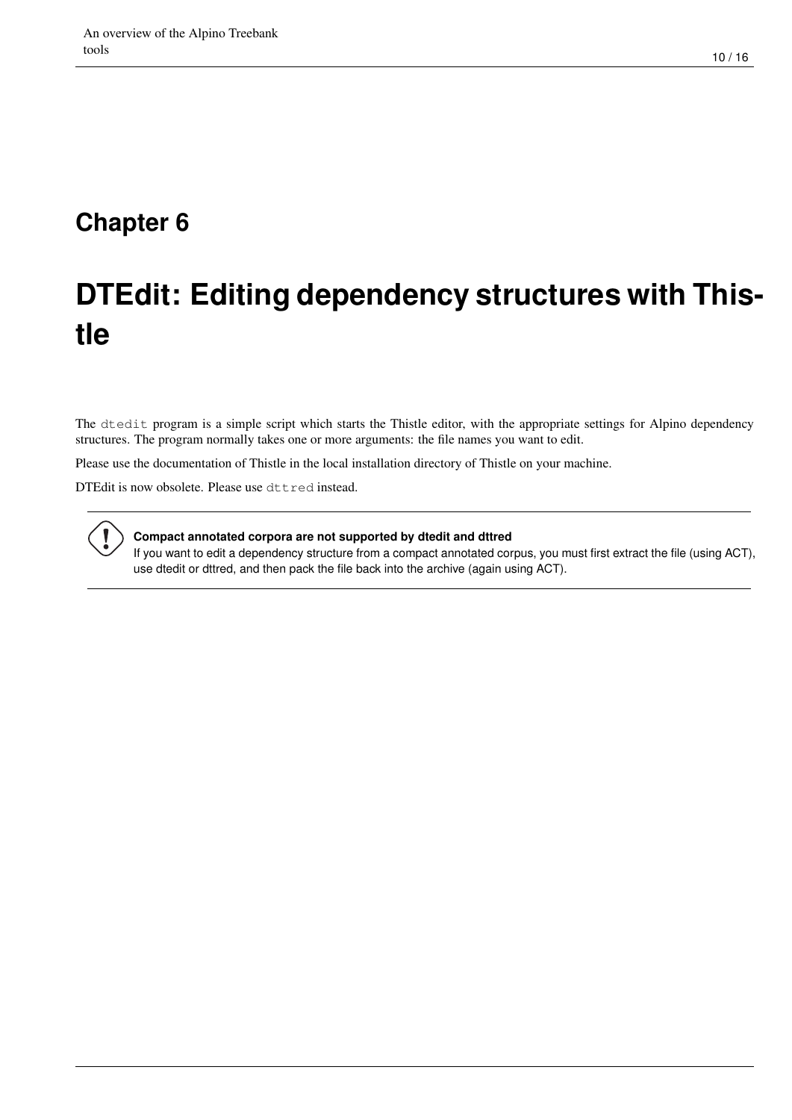# <span id="page-12-0"></span>**DTEdit: Editing dependency structures with Thistle**

The dtedit program is a simple script which starts the Thistle editor, with the appropriate settings for Alpino dependency structures. The program normally takes one or more arguments: the file names you want to edit.

Please use the documentation of Thistle in the local installation directory of Thistle on your machine.

DTEdit is now obsolete. Please use dttred instead.



#### **Compact annotated corpora are not supported by dtedit and dttred**

If you want to edit a dependency structure from a compact annotated corpus, you must first extract the file (using ACT), use dtedit or dttred, and then pack the file back into the archive (again using ACT).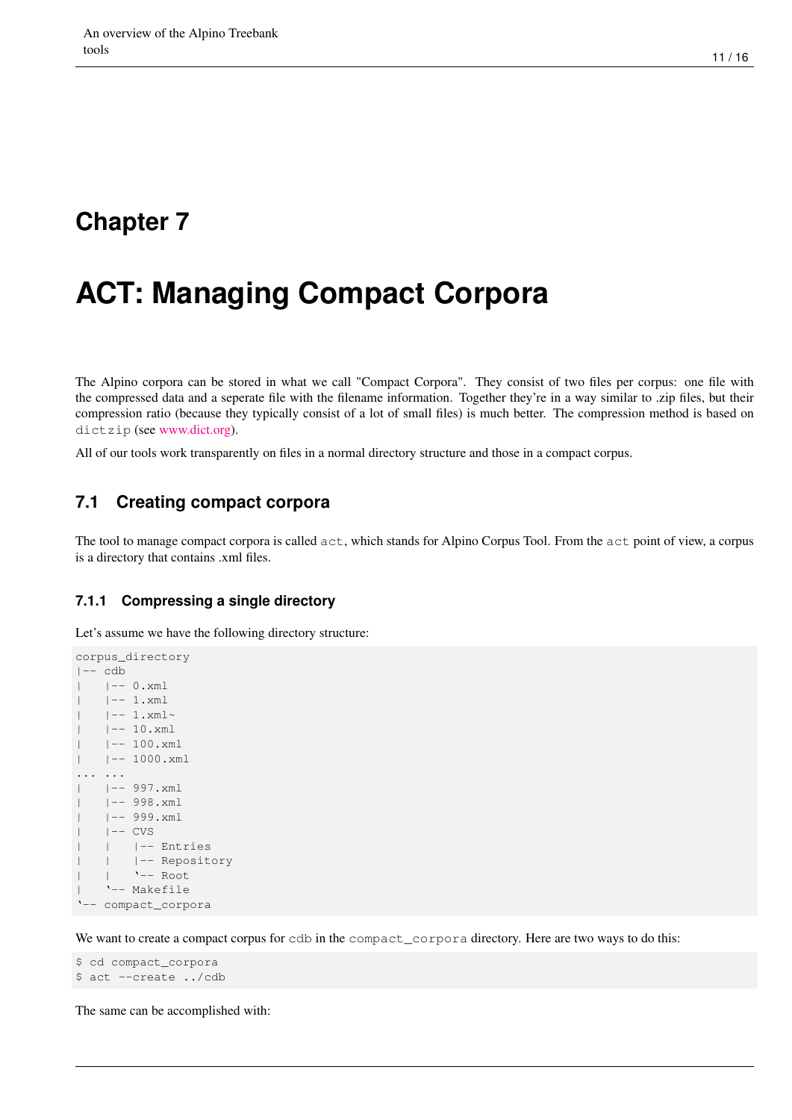# <span id="page-13-0"></span>**ACT: Managing Compact Corpora**

The Alpino corpora can be stored in what we call "Compact Corpora". They consist of two files per corpus: one file with the compressed data and a seperate file with the filename information. Together they're in a way similar to .zip files, but their compression ratio (because they typically consist of a lot of small files) is much better. The compression method is based on dictzip (see [www.dict.org\)](http://www.dict.org).

All of our tools work transparently on files in a normal directory structure and those in a compact corpus.

#### <span id="page-13-1"></span>**7.1 Creating compact corpora**

The tool to manage compact corpora is called act, which stands for Alpino Corpus Tool. From the act point of view, a corpus is a directory that contains .xml files.

#### <span id="page-13-2"></span>**7.1.1 Compressing a single directory**

Let's assume we have the following directory structure:

```
corpus_directory
|-- cdb
| - - 0. xml
|-1. \timesml
   | -- 1. xml~
   | -- 10.xml| |-- 100.xml
|-1000.\text{xml}... ...
| |-- 997.xml
| |-- 998.xml
| |-- 999.xml
|- |- CVS
  | | |-- Entries
| | |-- Repository
| | '-- Root
| '-- Makefile
'-- compact_corpora
```
We want to create a compact corpus for cdb in the compact\_corpora directory. Here are two ways to do this:

```
$ cd compact_corpora
$ act --create ../cdb
```
The same can be accomplished with: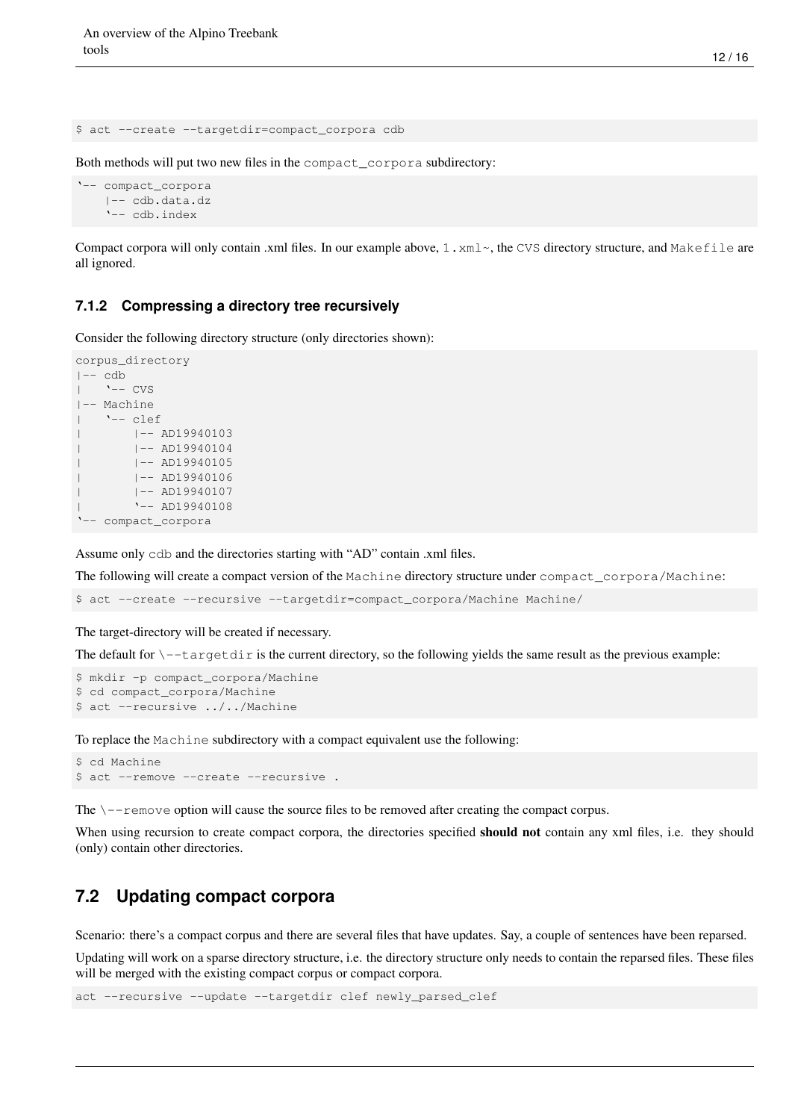\$ act --create --targetdir=compact\_corpora cdb

Both methods will put two new files in the compact\_corpora subdirectory:

```
'-- compact_corpora
    |-- cdb.data.dz
    '-- cdb.index
```
Compact corpora will only contain .xml files. In our example above,  $1 \cdot xm1 \sim$ , the CVS directory structure, and Makefile are all ignored.

#### <span id="page-14-0"></span>**7.1.2 Compressing a directory tree recursively**

Consider the following directory structure (only directories shown):

```
corpus_directory
|-- cdb
| '-- CVS
|-- Machine
| '-- clef
| |-- AD19940103
| |-- AD19940104
| |-- AD19940105
       | |-- AD19940106
| |-- AD19940107
       | '-- AD19940108
'-- compact_corpora
```
Assume only cdb and the directories starting with "AD" contain .xml files.

The following will create a compact version of the Machine directory structure under compact\_corpora/Machine:

\$ act --create --recursive --targetdir=compact\_corpora/Machine Machine/

The target-directory will be created if necessary.

The default for  $\setminus$ -targetdir is the current directory, so the following yields the same result as the previous example:

```
$ mkdir -p compact_corpora/Machine
$ cd compact_corpora/Machine
$ act --recursive ../../Machine
```
To replace the Machine subdirectory with a compact equivalent use the following:

```
$ cd Machine
$ act --remove --create --recursive .
```
The  $\setminus$ --remove option will cause the source files to be removed after creating the compact corpus.

When using recursion to create compact corpora, the directories specified **should not** contain any xml files, i.e. they should (only) contain other directories.

#### <span id="page-14-1"></span>**7.2 Updating compact corpora**

Scenario: there's a compact corpus and there are several files that have updates. Say, a couple of sentences have been reparsed.

Updating will work on a sparse directory structure, i.e. the directory structure only needs to contain the reparsed files. These files will be merged with the existing compact corpus or compact corpora.

act --recursive --update --targetdir clef newly\_parsed\_clef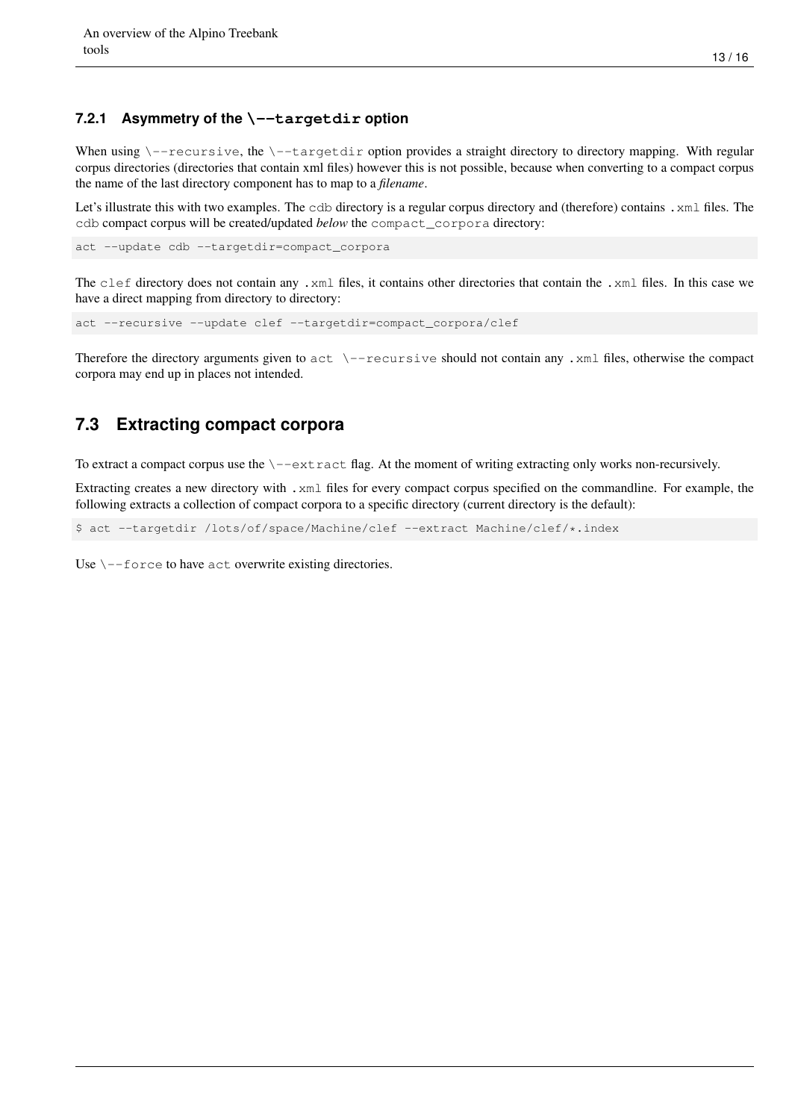#### <span id="page-15-0"></span>**7.2.1 Asymmetry of the \--targetdir option**

When using  $\--$ recursive, the  $\--$ targetdir option provides a straight directory to directory mapping. With regular corpus directories (directories that contain xml files) however this is not possible, because when converting to a compact corpus the name of the last directory component has to map to a *filename*.

Let's illustrate this with two examples. The cdb directory is a regular corpus directory and (therefore) contains .xml files. The cdb compact corpus will be created/updated *below* the compact\_corpora directory:

act --update cdb --targetdir=compact\_corpora

The clef directory does not contain any .xml files, it contains other directories that contain the .xml files. In this case we have a direct mapping from directory to directory:

```
act --recursive --update clef --targetdir=compact_corpora/clef
```
Therefore the directory arguments given to  $act \ \--recursively$  should not contain any . xml files, otherwise the compact corpora may end up in places not intended.

#### <span id="page-15-1"></span>**7.3 Extracting compact corpora**

To extract a compact corpus use the  $\setminus$ -extract flag. At the moment of writing extracting only works non-recursively.

Extracting creates a new directory with .xml files for every compact corpus specified on the commandline. For example, the following extracts a collection of compact corpora to a specific directory (current directory is the default):

\$ act --targetdir /lots/of/space/Machine/clef --extract Machine/clef/\*.index

Use  $\setminus$ --force to have act overwrite existing directories.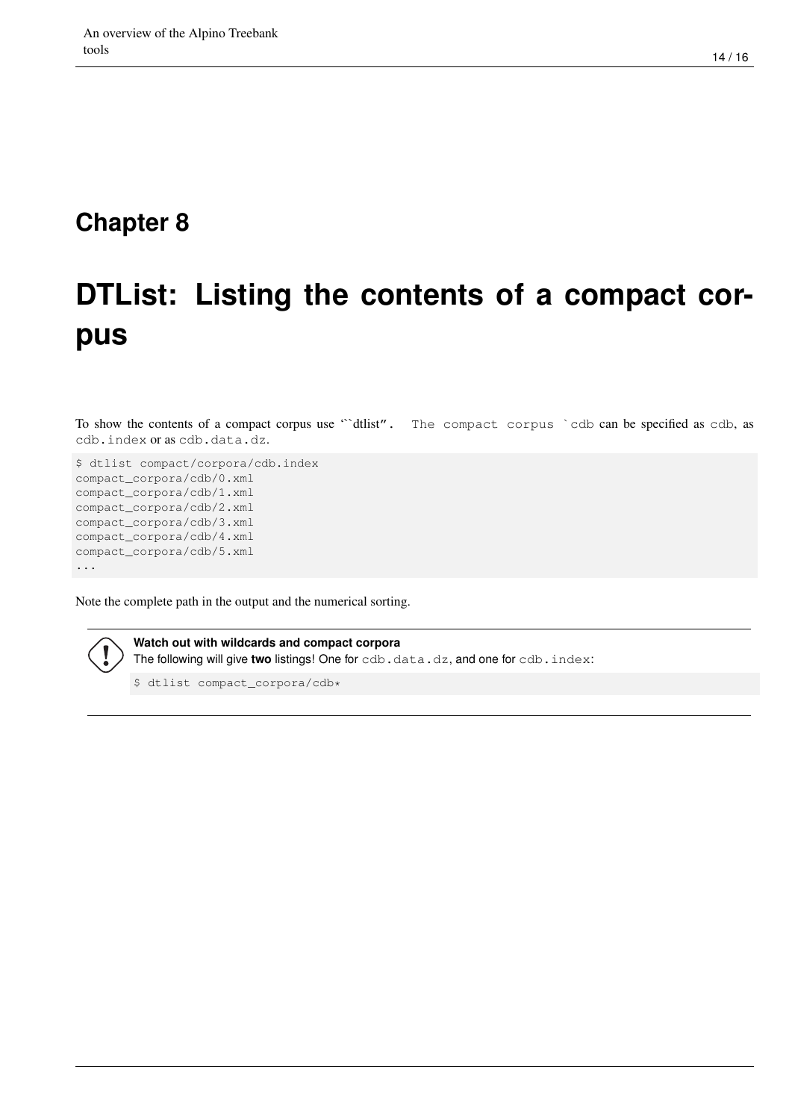# <span id="page-16-0"></span>**DTList: Listing the contents of a compact corpus**

To show the contents of a compact corpus use "`dtlist". The compact corpus `cdb can be specified as cdb, as cdb.index or as cdb.data.dz.

```
$ dtlist compact/corpora/cdb.index
compact_corpora/cdb/0.xml
compact_corpora/cdb/1.xml
compact_corpora/cdb/2.xml
compact_corpora/cdb/3.xml
compact_corpora/cdb/4.xml
compact_corpora/cdb/5.xml
...
```
Note the complete path in the output and the numerical sorting.

**Watch out with wildcards and compact corpora** The following will give two listings! One for cdb.data.dz, and one for cdb.index:

\$ dtlist compact\_corpora/cdb\*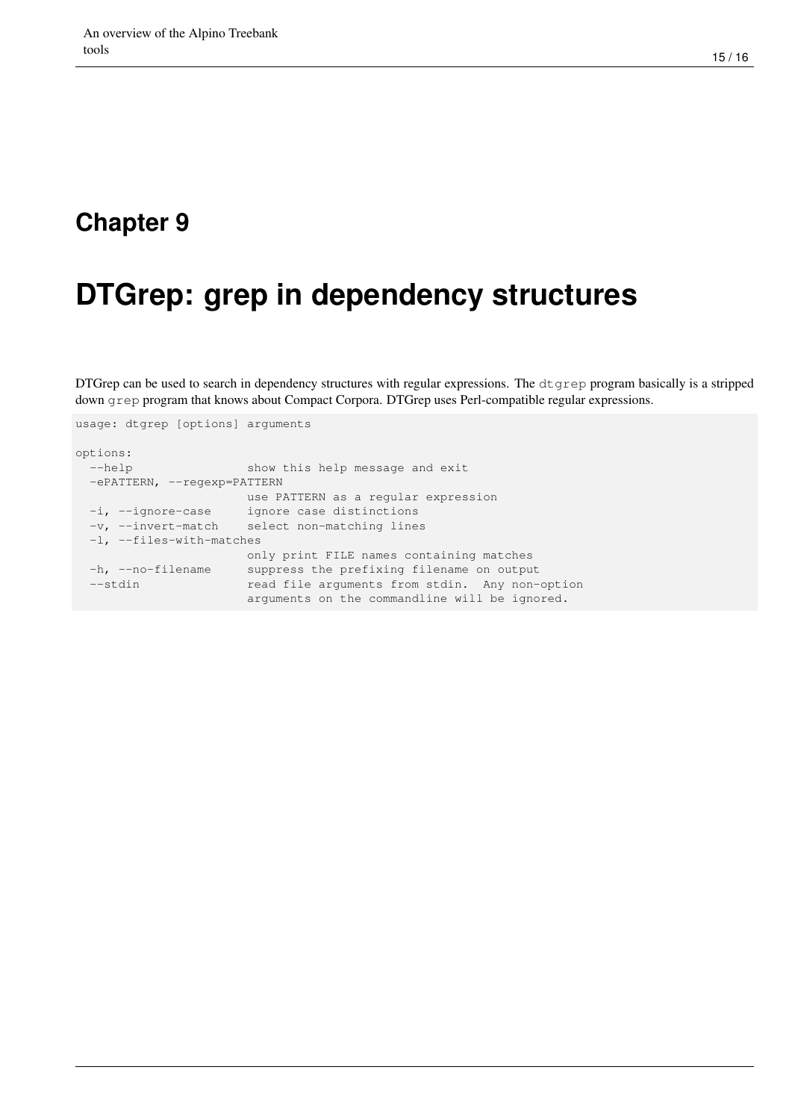## <span id="page-17-0"></span>**DTGrep: grep in dependency structures**

DTGrep can be used to search in dependency structures with regular expressions. The  $d \tau$ ep program basically is a stripped down grep program that knows about Compact Corpora. DTGrep uses Perl-compatible regular expressions.

```
usage: dtgrep [options] arguments
options:
 --help show this help message and exit
 -ePATTERN, --regexp=PATTERN
                     use PATTERN as a regular expression
 -i, --ignore-case ignore case distinctions
 -v, --invert-match select non-matching lines
 -l, --files-with-matches
                    only print FILE names containing matches
 -h, --no-filename suppress the prefixing filename on output
 --stdin read file arguments from stdin. Any non-option
                     arguments on the commandline will be ignored.
```